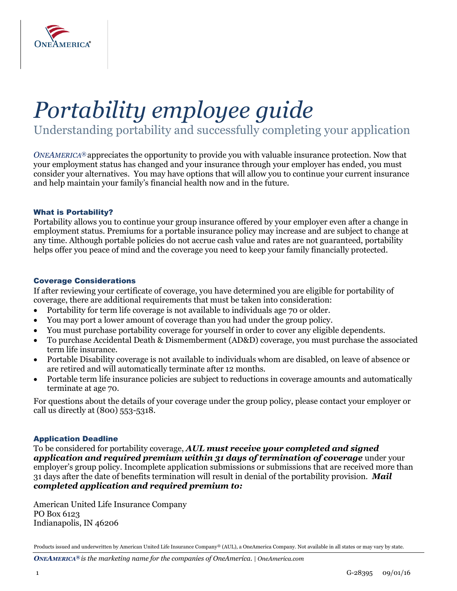

# *Portability employee guide*

Understanding portability and successfully completing your application

*ONEAMERICA®* appreciates the opportunity to provide you with valuable insurance protection. Now that your employment status has changed and your insurance through your employer has ended, you must consider your alternatives. You may have options that will allow you to continue your current insurance and help maintain your family's financial health now and in the future.

### What is Portability?

Portability allows you to continue your group insurance offered by your employer even after a change in employment status. Premiums for a portable insurance policy may increase and are subject to change at any time. Although portable policies do not accrue cash value and rates are not guaranteed, portability helps offer you peace of mind and the coverage you need to keep your family financially protected.

### Coverage Considerations

If after reviewing your certificate of coverage, you have determined you are eligible for portability of coverage, there are additional requirements that must be taken into consideration:

- Portability for term life coverage is not available to individuals age 70 or older.
- You may port a lower amount of coverage than you had under the group policy.
- You must purchase portability coverage for yourself in order to cover any eligible dependents.
- To purchase Accidental Death & Dismemberment (AD&D) coverage, you must purchase the associated term life insurance.
- Portable Disability coverage is not available to individuals whom are disabled, on leave of absence or are retired and will automatically terminate after 12 months.
- Portable term life insurance policies are subject to reductions in coverage amounts and automatically terminate at age 70.

For questions about the details of your coverage under the group policy, please contact your employer or call us directly at (800) 553-5318.

### Application Deadline

To be considered for portability coverage, *AUL must receive your completed and signed application and required premium within 31 days of termination of coverage* under your employer's group policy. Incomplete application submissions or submissions that are received more than 31 days after the date of benefits termination will result in denial of the portability provision. *Mail completed application and required premium to:*

American United Life Insurance Company PO Box 6123 Indianapolis, IN 46206

Products issued and underwritten by American United Life Insurance Company® (AUL), a OneAmerica Company. Not available in all states or may vary by state.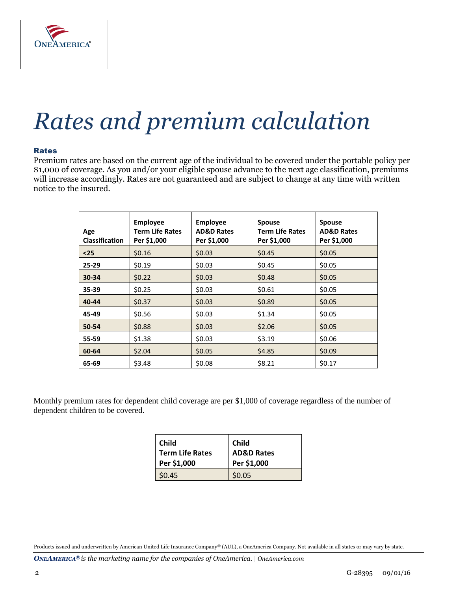

### *Rates and premium calculation*

### Rates

Premium rates are based on the current age of the individual to be covered under the portable policy per \$1,000 of coverage. As you and/or your eligible spouse advance to the next age classification, premiums will increase accordingly. Rates are not guaranteed and are subject to change at any time with written notice to the insured.

| Age<br><b>Classification</b> | <b>Employee</b><br><b>Term Life Rates</b><br>Per \$1,000 | <b>Employee</b><br><b>AD&amp;D Rates</b><br>Per \$1,000 | <b>Spouse</b><br><b>Term Life Rates</b><br>Per \$1,000 | <b>Spouse</b><br><b>AD&amp;D Rates</b><br>Per \$1,000 |
|------------------------------|----------------------------------------------------------|---------------------------------------------------------|--------------------------------------------------------|-------------------------------------------------------|
| $25$                         | \$0.16                                                   | \$0.03                                                  | \$0.45                                                 | \$0.05                                                |
| $25 - 29$                    | \$0.19                                                   | \$0.03                                                  | \$0.45                                                 | \$0.05                                                |
| 30-34                        | \$0.22                                                   | \$0.03                                                  | \$0.48                                                 | \$0.05                                                |
| 35-39                        | \$0.25                                                   | \$0.03                                                  | \$0.61                                                 | \$0.05                                                |
| 40-44                        | \$0.37                                                   | \$0.03                                                  | \$0.89                                                 | \$0.05                                                |
| 45-49                        | \$0.56                                                   | \$0.03                                                  | \$1.34                                                 | \$0.05                                                |
| 50-54                        | \$0.88                                                   | \$0.03                                                  | \$2.06                                                 | \$0.05                                                |
| 55-59                        | \$1.38                                                   | \$0.03                                                  | \$3.19                                                 | \$0.06                                                |
| 60-64                        | \$2.04                                                   | \$0.05                                                  | \$4.85                                                 | \$0.09                                                |
| 65-69                        | \$3.48                                                   | \$0.08                                                  | \$8.21                                                 | \$0.17                                                |

Monthly premium rates for dependent child coverage are per \$1,000 of coverage regardless of the number of dependent children to be covered.

| <b>Child</b>           | <b>Child</b>          |  |
|------------------------|-----------------------|--|
| <b>Term Life Rates</b> | <b>AD&amp;D Rates</b> |  |
| Per \$1,000            | Per \$1,000           |  |
| \$0.45                 | \$0.05                |  |

Products issued and underwritten by American United Life Insurance Company® (AUL), a OneAmerica Company. Not available in all states or may vary by state.

*ONEAMERICA® is the marketing name for the companies of OneAmerica. | OneAmerica.com*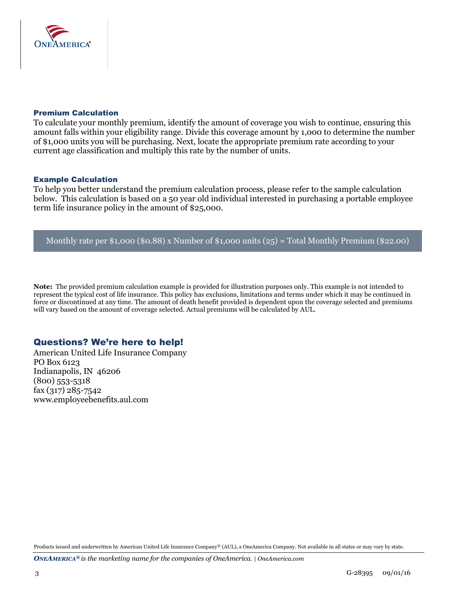

### Premium Calculation

To calculate your monthly premium, identify the amount of coverage you wish to continue, ensuring this amount falls within your eligibility range. Divide this coverage amount by 1,000 to determine the number of \$1,000 units you will be purchasing. Next, locate the appropriate premium rate according to your current age classification and multiply this rate by the number of units.

### Example Calculation

To help you better understand the premium calculation process, please refer to the sample calculation below. This calculation is based on a 50 year old individual interested in purchasing a portable employee term life insurance policy in the amount of \$25,000.

### Monthly rate per \$1,000 (\$0.88) x Number of \$1,000 units (25) = Total Monthly Premium (\$22.00)

**Note:** The provided premium calculation example is provided for illustration purposes only. This example is not intended to represent the typical cost of life insurance. This policy has exclusions, limitations and terms under which it may be continued in force or discontinued at any time. The amount of death benefit provided is dependent upon the coverage selected and premiums will vary based on the amount of coverage selected. Actual premiums will be calculated by AUL.

### Questions? We're here to help!

American United Life Insurance Company PO Box 6123 Indianapolis, IN 46206 (800) 553-5318 fax (317) 285-7542 www.employeebenefits.aul.com

Products issued and underwritten by American United Life Insurance Company® (AUL), a OneAmerica Company. Not available in all states or may vary by state.